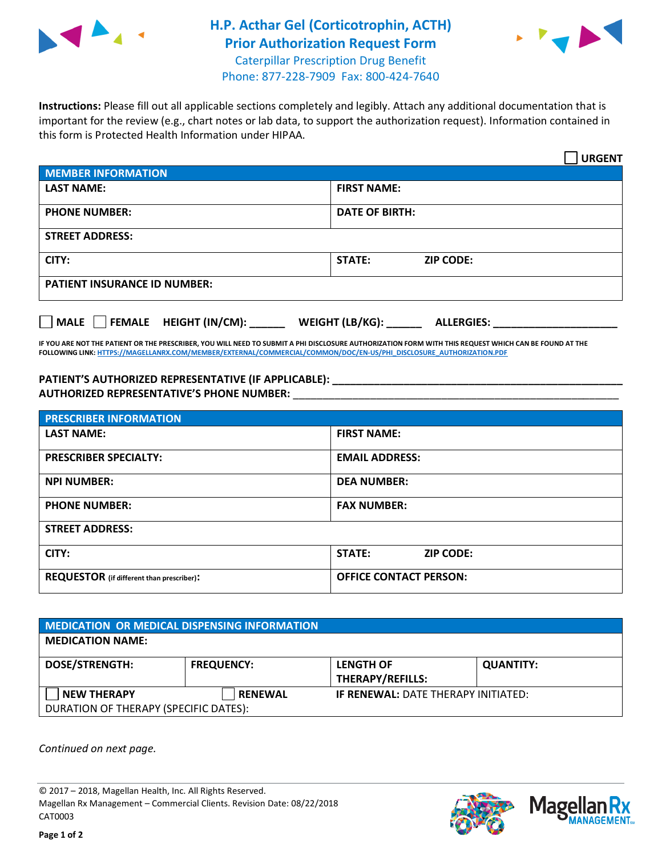

## **H.P. Acthar Gel (Corticotrophin, ACTH) Prior Authorization Request Form** Caterpillar Prescription Drug Benefit Phone: 877-228-7909 Fax: 800-424-7640



**Instructions:** Please fill out all applicable sections completely and legibly. Attach any additional documentation that is important for the review (e.g., chart notes or lab data, to support the authorization request). Information contained in this form is Protected Health Information under HIPAA.

|                                            | <b>URGENT</b>                        |  |  |  |
|--------------------------------------------|--------------------------------------|--|--|--|
| <b>MEMBER INFORMATION</b>                  |                                      |  |  |  |
| <b>LAST NAME:</b>                          | <b>FIRST NAME:</b>                   |  |  |  |
| <b>PHONE NUMBER:</b>                       | <b>DATE OF BIRTH:</b>                |  |  |  |
| <b>STREET ADDRESS:</b>                     |                                      |  |  |  |
| CITY:                                      | STATE:<br><b>ZIP CODE:</b>           |  |  |  |
| <b>PATIENT INSURANCE ID NUMBER:</b>        |                                      |  |  |  |
| FEMALE HEIGHT (IN/CM):<br>$ $ MALE $ $ $ $ | WEIGHT (LB/KG):<br><b>ALLERGIES:</b> |  |  |  |

**IF YOU ARE NOT THE PATIENT OR THE PRESCRIBER, YOU WILL NEED TO SUBMIT A PHI DISCLOSURE AUTHORIZATION FORM WITH THIS REQUEST WHICH CAN BE FOUND AT THE FOLLOWING LINK[: HTTPS://MAGELLANRX.COM/MEMBER/EXTERNAL/COMMERCIAL/COMMON/DOC/EN-US/PHI\\_DISCLOSURE\\_AUTHORIZATION.PDF](https://magellanrx.com/member/external/commercial/common/doc/en-us/PHI_Disclosure_Authorization.pdf)**

PATIENT'S AUTHORIZED REPRESENTATIVE (IF APPLICABLE): **\_\_\_\_\_\_\_\_\_\_\_\_\_\_\_\_\_\_\_\_ AUTHORIZED REPRESENTATIVE'S PHONE NUMBER:** \_\_\_\_\_\_\_\_\_\_\_\_\_\_\_\_\_\_\_\_\_\_\_\_\_\_\_\_\_\_\_\_\_\_\_\_\_\_\_\_\_\_\_\_\_\_\_\_\_\_\_\_\_\_\_

| <b>PRESCRIBER INFORMATION</b>             |                                   |  |  |  |
|-------------------------------------------|-----------------------------------|--|--|--|
| <b>LAST NAME:</b>                         | <b>FIRST NAME:</b>                |  |  |  |
| <b>PRESCRIBER SPECIALTY:</b>              | <b>EMAIL ADDRESS:</b>             |  |  |  |
| <b>NPI NUMBER:</b>                        | <b>DEA NUMBER:</b>                |  |  |  |
| <b>PHONE NUMBER:</b>                      | <b>FAX NUMBER:</b>                |  |  |  |
| <b>STREET ADDRESS:</b>                    |                                   |  |  |  |
| CITY:                                     | <b>STATE:</b><br><b>ZIP CODE:</b> |  |  |  |
| REQUESTOR (if different than prescriber): | <b>OFFICE CONTACT PERSON:</b>     |  |  |  |

| <b>MEDICATION OR MEDICAL DISPENSING INFORMATION</b> |                   |                                            |                  |  |  |
|-----------------------------------------------------|-------------------|--------------------------------------------|------------------|--|--|
| <b>MEDICATION NAME:</b>                             |                   |                                            |                  |  |  |
| <b>DOSE/STRENGTH:</b>                               | <b>FREQUENCY:</b> | <b>LENGTH OF</b>                           | <b>QUANTITY:</b> |  |  |
|                                                     |                   | <b>THERAPY/REFILLS:</b>                    |                  |  |  |
| <b>NEW THERAPY</b>                                  | <b>RENEWAL</b>    | <b>IF RENEWAL: DATE THERAPY INITIATED:</b> |                  |  |  |
| DURATION OF THERAPY (SPECIFIC DATES):               |                   |                                            |                  |  |  |

*Continued on next page.*

© 2017 – 2018, Magellan Health, Inc. All Rights Reserved. Magellan Rx Management – Commercial Clients. Revision Date: 08/22/2018 CAT0003